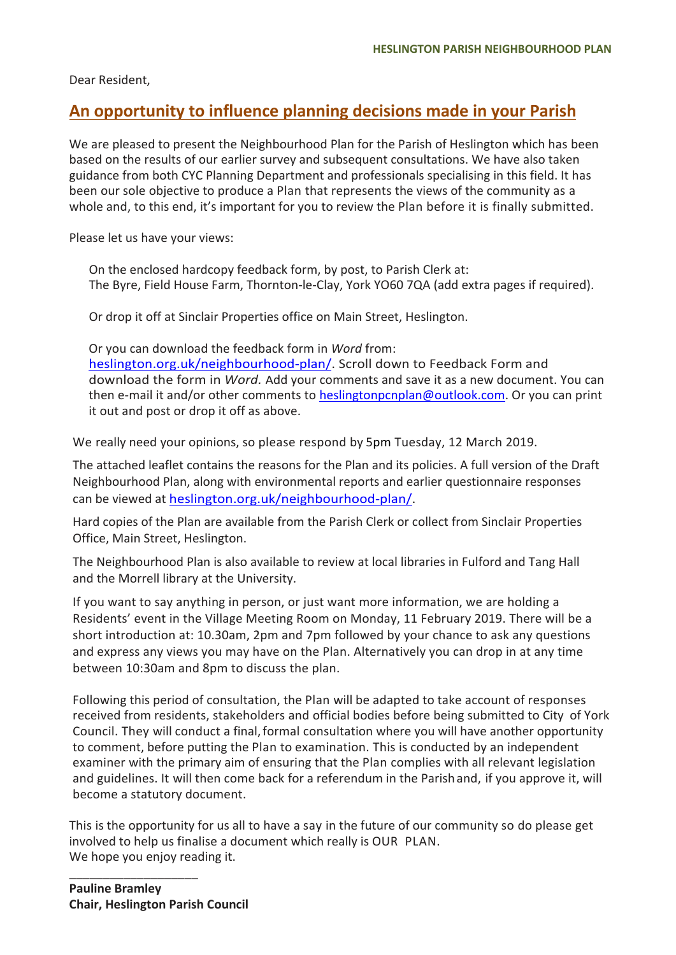Dear Resident,

## **An opportunity to influence planning decisions made in your Parish**

We are pleased to present the Neighbourhood Plan for the Parish of Heslington which has been based on the results of our earlier survey and subsequent consultations. We have also taken guidance from both CYC Planning Department and professionals specialising in this field. It has been our sole objective to produce a Plan that represents the views of the community as a whole and, to this end, it's important for you to review the Plan before it is finally submitted.

Please let us have your views:

On the enclosed hardcopy feedback form, by post, to Parish Clerk at: The Byre, Field House Farm, Thornton-le-Clay, York YO60 7QA (add extra pages if required).

Or drop it off at Sinclair Properties office on Main Street, Heslington.

Or you can download the feedback form in *Word* from:

heslington.org.uk/neighbourhood-plan/. Scroll down to Feedback Form and download the form in *Word.* Add your comments and save it as a new document. You can then e-mail it and/or other comments to heslingtonpcnplan@outlook.com. Or you can print it out and post or drop it off as above.

We really need your opinions, so please respond by 5pm Tuesday, 12 March 2019.

The attached leaflet contains the reasons for the Plan and its policies. A full version of the Draft Neighbourhood Plan, along with environmental reports and earlier questionnaire responses can be viewed at heslington.org.uk/neighbourhood-plan/.

Hard copies of the Plan are available from the Parish Clerk or collect from Sinclair Properties Office, Main Street, Heslington.

The Neighbourhood Plan is also available to review at local libraries in Fulford and Tang Hall and the Morrell library at the University.

If you want to say anything in person, or just want more information, we are holding a Residents' event in the Village Meeting Room on Monday, 11 February 2019. There will be a short introduction at: 10.30am, 2pm and 7pm followed by your chance to ask any questions and express any views you may have on the Plan. Alternatively you can drop in at any time between 10:30am and 8pm to discuss the plan.

Following this period of consultation, the Plan will be adapted to take account of responses received from residents, stakeholders and official bodies before being submitted to City of York Council. They will conduct a final, formal consultation where you will have another opportunity to comment, before putting the Plan to examination. This is conducted by an independent examiner with the primary aim of ensuring that the Plan complies with all relevant legislation and guidelines. It will then come back for a referendum in the Parishand, if you approve it, will become a statutory document.

This is the opportunity for us all to have a say in the future of our community so do please get involved to help us finalise a document which really is OUR PLAN. We hope you enjoy reading it.

\_\_\_\_\_\_\_\_\_\_\_\_\_\_\_\_\_\_\_